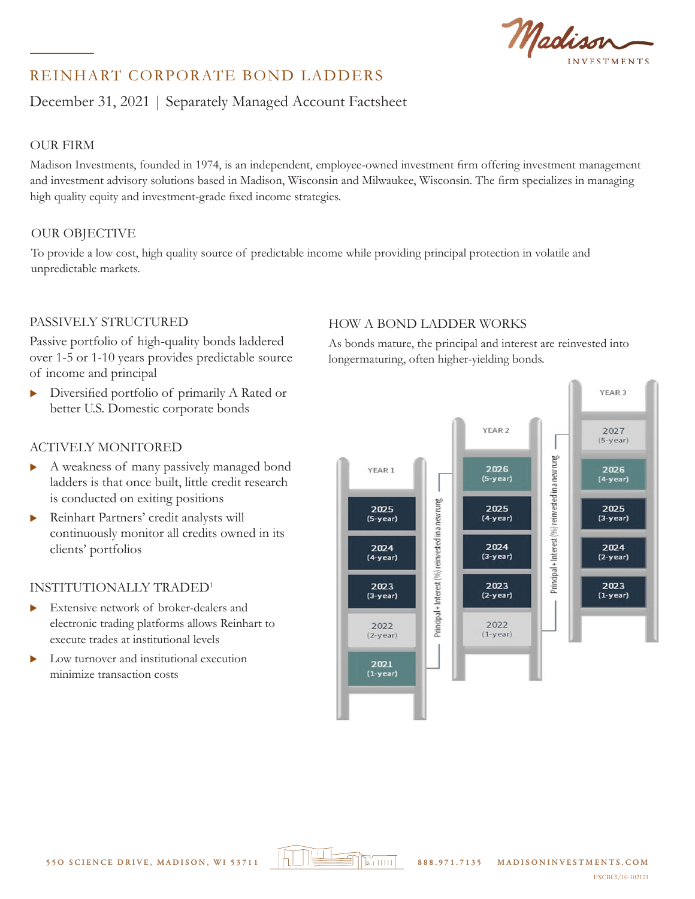Madison

# REINHART CORPORATE BOND LADDERS

# December 31, 2021 | Separately Managed Account Factsheet

## OUR FIRM INVESTMENT PHILOSOPHY & APPROACH

Madison Investments, founded in 1974, is an independent, employee-owned investment firm offering investment management and investment advisory solutions based in Madison, Wisconsin and Milwaukee, Wisconsin. The firm specializes in managing<br>high quality equity and investment-grade fixed income strategies. high quality equity and investment-grade fixed income strategies.  $\frac{1}{\sqrt{2}}$  and  $\frac{1}{\sqrt{2}}$  and  $\frac{1}{\sqrt{2}}$  and  $\frac{1}{\sqrt{2}}$  and ladder allows  $\frac{1}{\sqrt{2}}$  and  $\frac{1}{\sqrt{2}}$  and  $\frac{1}{\sqrt{2}}$  and  $\frac{1}{\sqrt{2}}$  and  $\frac{1}{\sqrt{2}}$  and  $\frac{1}{\sqrt{2}}$  and  $\frac{1}{\sqrt{2}}$  and  $\frac{1}{\sqrt{2}}$  and  $\frac$ 

#### OUR OBJECTIVE OUR OBJECTIVE **investing of passive investigation**: (

To provide a low cost, high quality source of predictable income while providing principal protection in volatile and<br>
uporadictable markets unpredictable markets.

### PASSIVELY STRUCTURED

Passive portfolio of high-quality bonds laddered over 1-5 or 1-10 years provides predictable source over 1-5 or 1-10 years pi<br>of income and principal

 $\triangleright$  Diversified portfolio of primarily A Rated or Breefshed portions of primarily 11 Regular schedule Lower fee structure than maturing bonds provides

#### ACTIVELY MONITORED  $AC$

- A weakness of many passively managed bond ladders is that once built, little credit research is conducted on exiting positions
- Reinhart Partners' credit analysts will continuously monitor all credits owned in its clients' portfolios

#### INSTITUTIONALLY TRADED<sup>1</sup> INS

- $\blacktriangleright$  Extensive network of broker-dealers and electronic trading platforms allows Reinhart to execute trades at institutional levels transparency of holdings
	- Low turnover and institutional execution minimize transaction costs

### HOW A BOND LADDER WORKS

As bonds mature, the principal and interest are reinvested into As bonds mature, the principal and interest are reinvested longermaturing, often higher-yielding bonds.

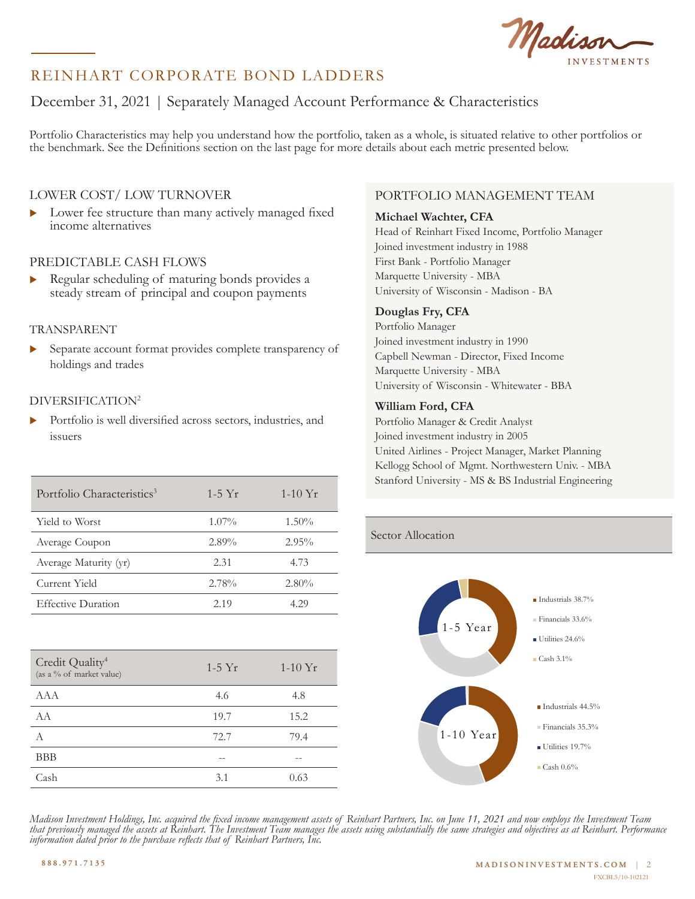Madiss

# REINHART CORPORATE BOND LADDERS

# December 31, 2021 | Separately Managed Account Performance & Characteristics

Portfolio Characteristics may help you understand how the portfolio, taken as a whole, is situated relative to other portfolios or the benchmark. See the Definitions section on the last page for more details about each metric presented below.

### LOWER COST/ LOW TURNOVER

Lower fee structure than many actively managed fixed income alternatives

### PREDICTABLE CASH FLOWS

 $\triangleright$  Regular scheduling of maturing bonds provides a steady stream of principal and coupon payments

#### TRANSPARENT

Separate account format provides complete transparency of holdings and trades

### DIVERSIFICATION2

In Portfolio is well diversified across sectors, industries, and issuers Financials 35.3%

| Portfolio Characteristics <sup>3</sup> | $1-5$ Yr | 1-10 $Yr$ |
|----------------------------------------|----------|-----------|
| Yield to Worst                         | $1.07\%$ | $1.50\%$  |
| Average Coupon                         | $2.89\%$ | $2.95\%$  |
| Average Maturity (yr)                  | 2.31     | 4.73      |
| Current Yield                          | 2.78%    | $2.80\%$  |
| <b>Effective Duration</b>              | 2.19     | 4 29      |

| Credit Quality <sup>4</sup><br>(as a % of market value) | $1-5$ Yr | $1-10Yr$ |
|---------------------------------------------------------|----------|----------|
| AAA                                                     | 4.6      | 4.8      |
| AA                                                      | 19.7     | 15.2     |
| А                                                       | 72.7     | 79.4     |
| <b>BBB</b>                                              | --       |          |
| Cash                                                    | 3.1      | 0.63     |
|                                                         |          |          |

### PORTFOLIO MANAGEMENT TEAM

#### **Michael Wachter, CFA**

Head of Reinhart Fixed Income, Portfolio Manager Joined investment industry in 1988 First Bank - Portfolio Manager Marquette University - MBA University of Wisconsin - Madison - BA

#### **Douglas Fry, CFA**

Portfolio Manager Joined investment industry in 1990 Capbell Newman - Director, Fixed Income Marquette University - MBA University of Wisconsin - Whitewater - BBA

#### **William Ford, CFA**

Portfolio Manager & Credit Analyst Joined investment industry in 2005 United Airlines - Project Manager, Market Planning Kellogg School of Mgmt. Northwestern Univ. - MBA Stanford University - MS & BS Industrial Engineering Utilities 19.7%

### Sector Allocation



Madison Investment Holdings, Inc. acquired the fixed income management assets of Reinhart Partners, Inc. on June 11, 2021 and now employs the Investment Team<br>that previously managed the assets at Reinhart. The Investment T information dated prior to the purchase reflects that of Reinhart Partners, Inc. *that previously managed the assets at Reinhart. The Investment Team manages the assets using substantially the same strategies and objectives as at Reinhart. Performance*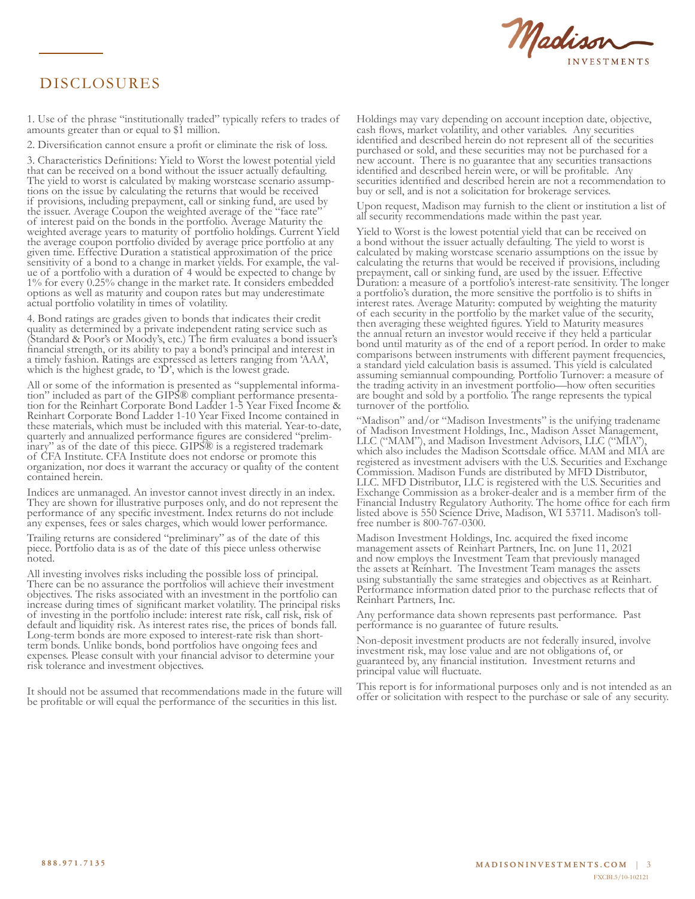

# DISCLOSURES

1. Use of the phrase "institutionally traded" typically refers to trades of amounts greater than or equal to \$1 million.

2. Diversification cannot ensure a profit or eliminate the risk of loss.

3. Characteristics Definitions: Yield to Worst the lowest potential yield that can be received on a bond without the issuer actually defaulting. The yield to worst is calculated by making worstcase scenario assump- tions on the issue by calculating the returns that would be received if provisions, including prepayment, call or sinking fund, are used by the issuer. Average Coupon the weighted average of the "face rate" of interest paid on the bonds in the portfolio. Average Maturity the weighted average years to maturity of portfolio holdings. Current Yield the average coupon portfolio divided by average price portfolio at any given time. Effective Duration a statistical approximation of the price sensitivity of a bond to a change in market yields. For example, the val- ue of a portfolio with a duration of 4 would be expected to change by 1% for every 0.25% change in the market rate. It considers embedded options as well as maturity and coupon rates but may underestimate actual portfolio volatility in times of volatility.

4. Bond ratings are grades given to bonds that indicates their credit quality as determined by a private independent rating service such as (Standard & Poor's or Moody's, etc.) The firm evaluates a bond issuer's financial strength, or its ability to pay a bond's principal and interest in a timely fashion. Ratings are expressed as letters ranging from 'AAA', which is the highest grade, to 'D', which is the lowest grade.

All or some of the information is presented as "supplemental information" included as part of the GIPS® compliant performance presentation for the Reinhart Corporate Bond Ladder 1-5 Year Fixed Income & Reinhart Corporate Bond Ladder 1-10 Year Fixed Income contained in these materials, which must be included with this material. Year-to-date, quarterly and annualized performance figures are considered "prelim- inary" as of the date of this piece. GIPS® is a registered trademark of CFA Institute. CFA Institute does not endorse or promote this organization, nor does it warrant the accuracy or quality of the content contained herein.

Indices are unmanaged. An investor cannot invest directly in an index. They are shown for illustrative purposes only, and do not represent the performance of any specific investment. Index returns do not include any expenses, fees or sales charges, which would lower performance.

Trailing returns are considered "preliminary" as of the date of this piece. Portfolio data is as of the date of this piece unless otherwise noted.

All investing involves risks including the possible loss of principal. There can be no assurance the portfolios will achieve their investment objectives. The risks associated with an investment in the portfolio can increase during times of significant market volatility. The principal risks of investing in the portfolio include: interest rate risk, call risk, risk of default and liquidity risk. As interest rates rise, the prices of bonds fall. Long-term bonds are more exposed to interest-rate risk than shortterm bonds. Unlike bonds, bond portfolios have ongoing fees and expenses. Please consult with your financial advisor to determine your risk tolerance and investment objectives.

It should not be assumed that recommendations made in the future will be profitable or will equal the performance of the securities in this list.

Holdings may vary depending on account inception date, objective, cash flows, market volatility, and other variables. Any securities identified and described herein do not represent all of the securities purchased or sold, and these securities may not be purchased for a new account. There is no guarantee that any securities transactions identified and described herein were, or will be profitable. Any securities identified and described herein are not a recommendation to buy or sell, and is not a solicitation for brokerage services.

Upon request, Madison may furnish to the client or institution a list of all security recommendations made within the past year.

Yield to Worst is the lowest potential yield that can be received on a bond without the issuer actually defaulting. The yield to worst is calculated by making worstcase scenario assumptions on the issue by calculating the returns that would be received if provisions, including prepayment, call or sinking fund, are used by the issuer. Effective Duration: a measure of a portfolio's interest-rate sensitivity. The longer a portfolio's duration, the more sensitive the portfolio is to shifts in interest rates. Average Maturity: computed by weighting the maturity of each security in the portfolio by the market value of the security, then averaging these weighted figures. Yield to Maturity measures the annual return an investor would receive if they held a particular bond until maturity as of the end of a report period. In order to make comparisons between instruments with different payment frequencies, a standard yield calculation basis is assumed. This yield is calculated assuming semiannual compounding. Portfolio Turnover: a measure of the trading activity in an investment portfolio—how often securities are bought and sold by a portfolio. The range represents the typical turnover of the portfolio.

"Madison" and/or "Madison Investments" is the unifying tradename of Madison Investment Holdings, Inc., Madison Asset Management, LLC ("MAM"), and Madison Investment Advisors, LLC ("MIA" which also includes the Madison Scottsdale office. MAM and MIA are registered as investment advisers with the U.S. Securities and Exchange Commission. Madison Funds are distributed by MFD Distributor, LLC. MFD Distributor, LLC is registered with the U.S. Securities and Exchange Commission as a broker-dealer and is a member firm of the Financial Industry Regulatory Authority. The home office for each firm listed above is 550 Science Drive, Madison, WI 53711. Madison's tollfree number is 800-767-0300.

Madison Investment Holdings, Inc. acquired the fixed income management assets of Reinhart Partners, Inc. on June 11, 2021 and now employs the Investment Team that previously managed the assets at Reinhart. The Investment Team manages the assets using substantially the same strategies and objectives as at Reinhart. Performance information dated prior to the purchase reflects that of Reinhart Partners, Inc.

Any performance data shown represents past performance. Past performance is no guarantee of future results.

Non-deposit investment products are not federally insured, involve investment risk, may lose value and are not obligations of, or guaranteed by, any financial institution. Investment returns and principal value will fluctuate.

This report is for informational purposes only and is not intended as an offer or solicitation with respect to the purchase or sale of any security.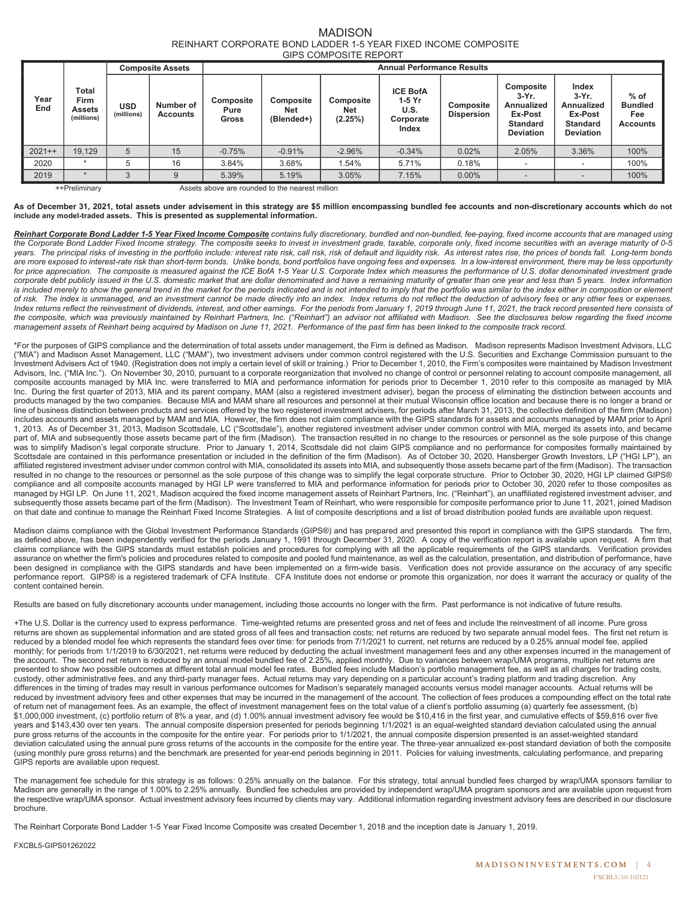#### MADISON REINHART CORPORATE BOND LADDER 1-5 YEAR FIXED INCOME COMPOSITE GIPS COMPOSITE REPORT

|             |                                              | <b>Composite Assets</b>  |                              | <b>Annual Performance Results</b> |                                       |                                    |                                                         |                                |                                                                                              |                                                                                   |                                                    |  |
|-------------|----------------------------------------------|--------------------------|------------------------------|-----------------------------------|---------------------------------------|------------------------------------|---------------------------------------------------------|--------------------------------|----------------------------------------------------------------------------------------------|-----------------------------------------------------------------------------------|----------------------------------------------------|--|
| Year<br>End | Total<br>Firm<br><b>Assets</b><br>(millions) | <b>USD</b><br>(millions) | Number of<br><b>Accounts</b> | Composite<br>Pure<br>Gross        | Composite<br><b>Net</b><br>(Blended+) | Composite<br><b>Net</b><br>(2.25%) | <b>ICE BofA</b><br>1-5 Yr<br>U.S.<br>Corporate<br>Index | Composite<br><b>Dispersion</b> | <b>Composite</b><br>$3-Yr$ .<br>Annualized<br>Ex-Post<br><b>Standard</b><br><b>Deviation</b> | Index<br>$3-Yr$ .<br>Annualized<br>Ex-Post<br><b>Standard</b><br><b>Deviation</b> | $%$ of<br><b>Bundled</b><br>Fee<br><b>Accounts</b> |  |
| $2021++$    | 19.129                                       | 5                        | 15                           | $-0.75%$                          | $-0.91%$                              | $-2.96%$                           | $-0.34%$                                                | 0.02%                          | 2.05%                                                                                        | 3.36%                                                                             | 100%                                               |  |
| 2020        | ٠                                            | 5                        | 16                           | 3.84%                             | 3.68%                                 | 1.54%                              | 5.71%                                                   | 0.18%                          |                                                                                              | $\overline{\phantom{a}}$                                                          | 100%                                               |  |
| 2019        |                                              | 3                        |                              | 5.39%                             | 5.19%                                 | 3.05%                              | 7.15%                                                   | 0.00%                          |                                                                                              | $\overline{\phantom{a}}$                                                          | 100%                                               |  |

++Preliminary Assets above are rounded to the nearest million

#### **As of December 31, 2021, total assets under advisement in this strategy are \$5 million encompassing bundled fee accounts and non-discretionary accounts which do not include any model-traded assets. This is presented as supplemental information.**

*Reinhart Corporate Bond Ladder 1-5 Year Fixed Income Composite contains fully discretionary, bundled and non-bundled, fee-paying, fixed income accounts that are managed using the Corporate Bond Ladder Fixed Income strategy. The composite seeks to invest in investment grade, taxable, corporate only, fixed income securities with an average maturity of 0-5 years. The principal risks of investing in the portfolio include: interest rate risk, call risk, risk of default and liquidity risk. As interest rates rise, the prices of bonds fall. Long-term bonds are more exposed to interest-rate risk than short-term bonds. Unlike bonds, bond portfolios have ongoing fees and expenses. In a low-interest environment, there may be less opportunity*  for price appreciation. The composite is measured against the ICE BofA 1-5 Year U.S. Corporate Index which measures the performance of U.S. dollar denominated investment grade *corporate debt publicly issued in the U.S. domestic market that are dollar denominated and have a remaining maturity of greater than one year and less than 5 years. Index information*  is included merely to show the general trend in the market for the periods indicated and is not intended to imply that the portfolio was similar to the index either in composition or element *of risk. The index is unmanaged, and an investment cannot be made directly into an index. Index returns do not reflect the deduction of advisory fees or any other fees or expenses.*  Index returns reflect the reinvestment of dividends, interest, and other earnings. For the periods from January 1, 2019 through June 11, 2021, the track record presented here consists of the composite, which was previously maintained by Reinhart Partners, Inc. ("Reinhart") an advisor not affiliated with Madison. See the disclosures below regarding the fixed income *management assets of Reinhart being acquired by Madison on June 11, 2021. Performance of the past firm has been linked to the composite track record.* 

\*For the purposes of GIPS compliance and the determination of total assets under management, the Firm is defined as Madison. Madison represents Madison Investment Advisors, LLC ("MIA") and Madison Asset Management, LLC ("MAM"), two investment advisers under common control registered with the U.S. Securities and Exchange Commission pursuant to the Investment Advisers Act of 1940. (Registration does not imply a certain level of skill or training.) Prior to December 1, 2010, the Firm's composites were maintained by Madison Investment Advisors, Inc. ("MIA Inc."). On November 30, 2010, pursuant to a corporate reorganization that involved no change of control or personnel relating to account composite management, all composite accounts managed by MIA Inc. were transferred to MIA and performance information for periods prior to December 1, 2010 refer to this composite as managed by MIA Inc. During the first quarter of 2013, MIA and its parent company, MAM (also a registered investment adviser), began the process of eliminating the distinction between accounts and products managed by the two companies. Because MIA and MAM share all resources and personnel at their mutual Wisconsin office location and because there is no longer a brand or line of business distinction between products and services offered by the two registered investment advisers, for periods after March 31, 2013, the collective definition of the firm (Madison) includes accounts and assets managed by MAM and MIA. However, the firm does not claim compliance with the GIPS standards for assets and accounts managed by MAM prior to April 1, 2013. As of December 31, 2013, Madison Scottsdale, LC ("Scottsdale"), another registered investment adviser under common control with MIA, merged its assets into, and became part of, MIA and subsequently those assets became part of the firm (Madison). The transaction resulted in no change to the resources or personnel as the sole purpose of this change was to simplify Madison's legal corporate structure. Prior to January 1, 2014, Scottsdale did not claim GIPS compliance and no performance for composites formally maintained by Scottsdale are contained in this performance presentation or included in the definition of the firm (Madison). As of October 30, 2020, Hansberger Growth Investors, LP ("HGI LP"), an affiliated registered investment adviser under common control with MIA, consolidated its assets into MIA, and subsequently those assets became part of the firm (Madison). The transaction resulted in no change to the resources or personnel as the sole purpose of this change was to simplify the legal corporate structure. Prior to October 30, 2020, HGI LP claimed GIPS® compliance and all composite accounts managed by HGI LP were transferred to MIA and performance information for periods prior to October 30, 2020 refer to those composites as managed by HGI LP. On June 11, 2021, Madison acquired the fixed income management assets of Reinhart Partners, Inc. ("Reinhart"), an unaffiliated registered investment adviser, and subsequently those assets became part of the firm (Madison). The Investment Team of Reinhart, who were responsible for composite performance prior to June 11, 2021, joined Madison on that date and continue to manage the Reinhart Fixed Income Strategies. A list of composite descriptions and a list of broad distribution pooled funds are available upon request.

Madison claims compliance with the Global Investment Performance Standards (GIPS®) and has prepared and presented this report in compliance with the GIPS standards. The firm, as defined above, has been independently verified for the periods January 1, 1991 through December 31, 2020. A copy of the verification report is available upon request. A firm that claims compliance with the GIPS standards must establish policies and procedures for complying with all the applicable requirements of the GIPS standards. Verification provides assurance on whether the firm's policies and procedures related to composite and pooled fund maintenance, as well as the calculation, presentation, and distribution of performance, have been designed in compliance with the GIPS standards and have been implemented on a firm-wide basis. Verification does not provide assurance on the accuracy of any specific performance report. GIPS® is a registered trademark of CFA Institute. CFA Institute does not endorse or promote this organization, nor does it warrant the accuracy or quality of the content contained herein.

Results are based on fully discretionary accounts under management, including those accounts no longer with the firm. Past performance is not indicative of future results.

*+*The U.S. Dollar is the currency used to express performance. Time-weighted returns are presented gross and net of fees and include the reinvestment of all income. Pure gross returns are shown as supplemental information and are stated gross of all fees and transaction costs; net returns are reduced by two separate annual model fees. The first net return is reduced by a blended model fee which represents the standard fees over time: for periods from 7/1/2021 to current, net returns are reduced by a 0.25% annual model fee, applied monthly; for periods from 1/1/2019 to 6/30/2021, net returns were reduced by deducting the actual investment management fees and any other expenses incurred in the management of the account. The second net return is reduced by an annual model bundled fee of 2.25%, applied monthly. Due to variances between wrap/UMA programs, multiple net returns are presented to show *two* possible outcomes at different total annual model fee rates. Bundled fees include Madison's portfolio management fee, as well as all charges for trading costs, custody, other administrative fees, and any third-party manager fees. Actual returns may vary depending on a particular account's trading platform and trading discretion. Any differences in the timing of trades may result in various performance outcomes for Madison's separately managed accounts versus model manager accounts. Actual returns will be reduced by investment advisory fees and other expenses that may be incurred in the management of the account. The collection of fees produces a compounding effect on the total rate of return net of management fees. As an example, the effect of investment management fees on the total value of a client's portfolio assuming (a) quarterly fee assessment, (b) \$1,000,000 investment, (c) portfolio return of 8% a year, and (d) 1.00% annual investment advisory fee would be \$10,416 in the first year, and cumulative effects of \$59,816 over five years and \$143,430 over ten years. The annual composite dispersion presented for periods beginning 1/1/2021 is an equal-weighted standard deviation calculated using the annual pure gross returns of the accounts in the composite for the entire year. For periods prior to 1/1/2021, the annual composite dispersion presented is an asset-weighted standard deviation calculated using the annual pure gross returns of the accounts in the composite for the entire year. The three-year annualized ex-post standard deviation of both the composite (using monthly pure gross returns) and the benchmark are presented for year-end periods beginning in 2011. Policies for valuing investments, calculating performance, and preparing GIPS reports are available upon request.

The management fee schedule for this strategy is as follows: 0.25% annually on the balance. For this strategy, total annual bundled fees charged by wrap/UMA sponsors familiar to Madison are generally in the range of 1.00% to 2.25% annually. Bundled fee schedules are provided by independent wrap/UMA program sponsors and are available upon request from the respective wrap/UMA sponsor. Actual investment advisory fees incurred by clients may vary. Additional information regarding investment advisory fees are described in our disclosure brochure.

The Reinhart Corporate Bond Ladder 1-5 Year Fixed Income Composite was created December 1, 2018 and the inception date is January 1, 2019.

FXCBL5-GIPS01262022